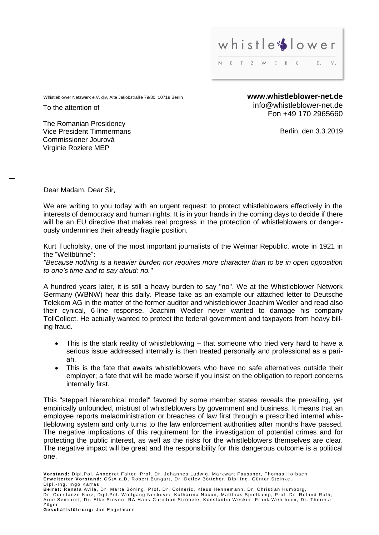

Whistleblower Netzwerk e.V. djv, Alte Jakobstraße 79/80, 10719 Berlin **www.whistleblower-net.de** 

To the attention of

info@whistleblower-net.de Fon +49 170 2965660

Berlin, den 3.3.2019

The Romanian Presidency Vice President Timmermans Commissioner Jourovà Virginie Roziere MEP

Dear Madam, Dear Sir,

We are writing to you today with an urgent request: to protect whistleblowers effectively in the interests of democracy and human rights. It is in your hands in the coming days to decide if there will be an EU directive that makes real progress in the protection of whistleblowers or dangerously undermines their already fragile position.

Kurt Tucholsky, one of the most important journalists of the Weimar Republic, wrote in 1921 in the "Weltbühne":

*"Because nothing is a heavier burden nor requires more character than to be in open opposition to one's time and to say aloud: no."*

A hundred years later, it is still a heavy burden to say "no". We at the Whistleblower Network Germany (WBNW) hear this daily. Please take as an example our attached letter to Deutsche Telekom AG in the matter of the former auditor and whistleblower Joachim Wedler and read also their cynical, 6-line response. Joachim Wedler never wanted to damage his company TollCollect. He actually wanted to protect the federal government and taxpayers from heavy billing fraud.

- This is the stark reality of whistleblowing that someone who tried very hard to have a serious issue addressed internally is then treated personally and professional as a pariah.
- This is the fate that awaits whistleblowers who have no safe alternatives outside their employer; a fate that will be made worse if you insist on the obligation to report concerns internally first.

This "stepped hierarchical model" favored by some member states reveals the prevailing, yet empirically unfounded, mistrust of whistleblowers by government and business. It means that an employee reports maladministration or breaches of law first through a prescribed internal whistleblowing system and only turns to the law enforcement authorities after months have passed. The negative implications of this requirement for the investigation of potential crimes and for protecting the public interest, as well as the risks for the whistleblowers themselves are clear. The negative impact will be great and the responsibility for this dangerous outcome is a political one.

Geschäftsführung: Jan Engelmann